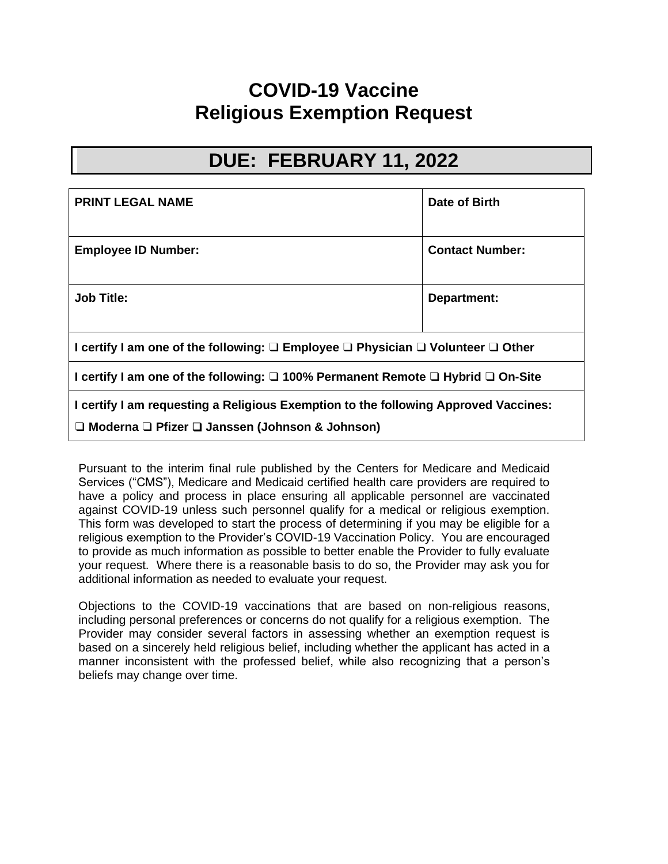## **COVID-19 Vaccine Religious Exemption Request**

## **DUE: FEBRUARY 11, 2022**

| <b>PRINT LEGAL NAME</b>                                                                                         | Date of Birth          |  |
|-----------------------------------------------------------------------------------------------------------------|------------------------|--|
| <b>Employee ID Number:</b>                                                                                      | <b>Contact Number:</b> |  |
| <b>Job Title:</b>                                                                                               | Department:            |  |
| I certify I am one of the following: $\square$ Employee $\square$ Physician $\square$ Volunteer $\square$ Other |                        |  |
| I certify I am one of the following: $\square$ 100% Permanent Remote $\square$ Hybrid $\square$ On-Site         |                        |  |
| I certify I am requesting a Religious Exemption to the following Approved Vaccines:                             |                        |  |
| $\Box$ Moderna $\Box$ Pfizer $\Box$ Janssen (Johnson & Johnson)                                                 |                        |  |

Pursuant to the interim final rule published by the Centers for Medicare and Medicaid Services ("CMS"), Medicare and Medicaid certified health care providers are required to have a policy and process in place ensuring all applicable personnel are vaccinated against COVID-19 unless such personnel qualify for a medical or religious exemption. This form was developed to start the process of determining if you may be eligible for a religious exemption to the Provider's COVID-19 Vaccination Policy. You are encouraged to provide as much information as possible to better enable the Provider to fully evaluate your request. Where there is a reasonable basis to do so, the Provider may ask you for additional information as needed to evaluate your request.

Objections to the COVID-19 vaccinations that are based on non-religious reasons, including personal preferences or concerns do not qualify for a religious exemption. The Provider may consider several factors in assessing whether an exemption request is based on a sincerely held religious belief, including whether the applicant has acted in a manner inconsistent with the professed belief, while also recognizing that a person's beliefs may change over time.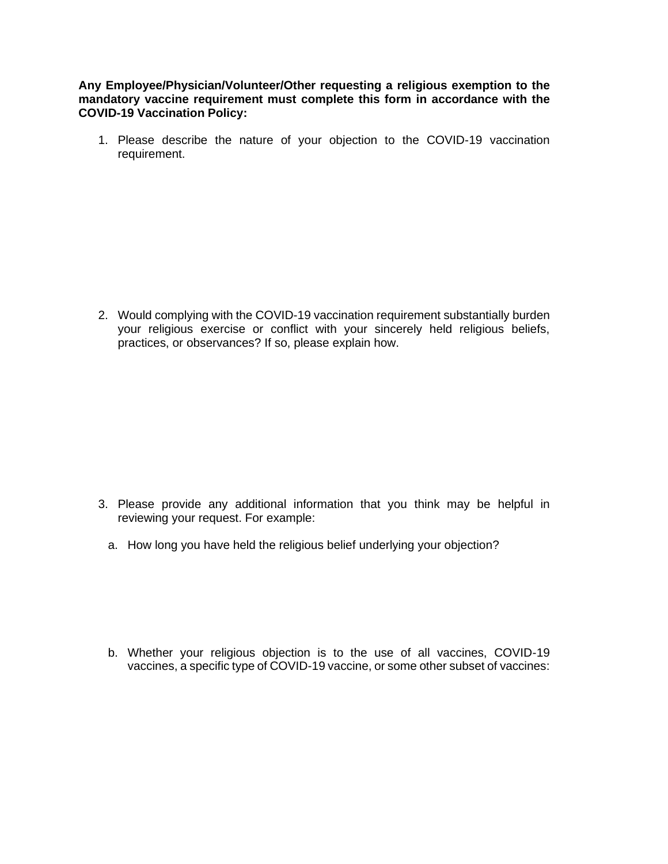**Any Employee/Physician/Volunteer/Other requesting a religious exemption to the mandatory vaccine requirement must complete this form in accordance with the COVID-19 Vaccination Policy:** 

1. Please describe the nature of your objection to the COVID-19 vaccination requirement.

2. Would complying with the COVID-19 vaccination requirement substantially burden your religious exercise or conflict with your sincerely held religious beliefs, practices, or observances? If so, please explain how.

- 3. Please provide any additional information that you think may be helpful in reviewing your request. For example:
	- a. How long you have held the religious belief underlying your objection?

b. Whether your religious objection is to the use of all vaccines, COVID-19 vaccines, a specific type of COVID-19 vaccine, or some other subset of vaccines: